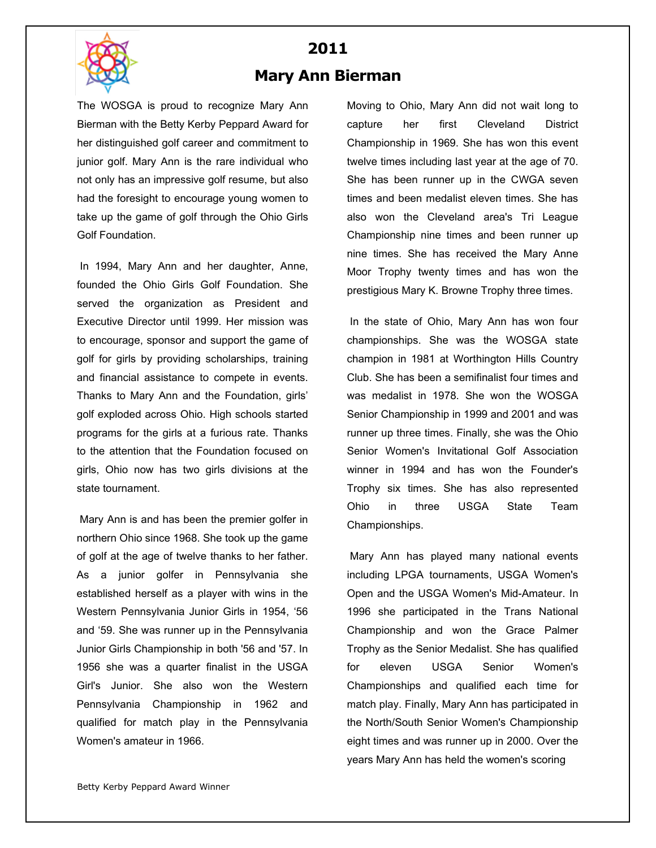

## **2011 Mary Ann Bierman**

The WOSGA is proud to recognize Mary Ann Bierman with the Betty Kerby Peppard Award for her distinguished golf career and commitment to junior golf. Mary Ann is the rare individual who not only has an impressive golf resume, but also had the foresight to encourage young women to take up the game of golf through the Ohio Girls Golf Foundation.

In 1994, Mary Ann and her daughter, Anne, founded the Ohio Girls Golf Foundation. She served the organization as President and Executive Director until 1999. Her mission was to encourage, sponsor and support the game of golf for girls by providing scholarships, training and financial assistance to compete in events. Thanks to Mary Ann and the Foundation, girls' golf exploded across Ohio. High schools started programs for the girls at a furious rate. Thanks to the attention that the Foundation focused on girls, Ohio now has two girls divisions at the state tournament.

Mary Ann is and has been the premier golfer in northern Ohio since 1968. She took up the game of golf at the age of twelve thanks to her father. As a junior golfer in Pennsylvania she established herself as a player with wins in the Western Pennsylvania Junior Girls in 1954, '56 and '59. She was runner up in the Pennsylvania Junior Girls Championship in both '56 and '57. In 1956 she was a quarter finalist in the USGA Girl's Junior. She also won the Western Pennsylvania Championship in 1962 and qualified for match play in the Pennsylvania Women's amateur in 1966.

Moving to Ohio, Mary Ann did not wait long to capture her first Cleveland District Championship in 1969. She has won this event twelve times including last year at the age of 70. She has been runner up in the CWGA seven times and been medalist eleven times. She has also won the Cleveland area's Tri League Championship nine times and been runner up nine times. She has received the Mary Anne Moor Trophy twenty times and has won the prestigious Mary K. Browne Trophy three times.

In the state of Ohio, Mary Ann has won four championships. She was the WOSGA state champion in 1981 at Worthington Hills Country Club. She has been a semifinalist four times and was medalist in 1978. She won the WOSGA Senior Championship in 1999 and 2001 and was runner up three times. Finally, she was the Ohio Senior Women's Invitational Golf Association winner in 1994 and has won the Founder's Trophy six times. She has also represented Ohio in three USGA State Team Championships.

Mary Ann has played many national events including LPGA tournaments, USGA Women's Open and the USGA Women's Mid-Amateur. In 1996 she participated in the Trans National Championship and won the Grace Palmer Trophy as the Senior Medalist. She has qualified for eleven USGA Senior Women's Championships and qualified each time for match play. Finally, Mary Ann has participated in the North/South Senior Women's Championship eight times and was runner up in 2000. Over the years Mary Ann has held the women's scoring